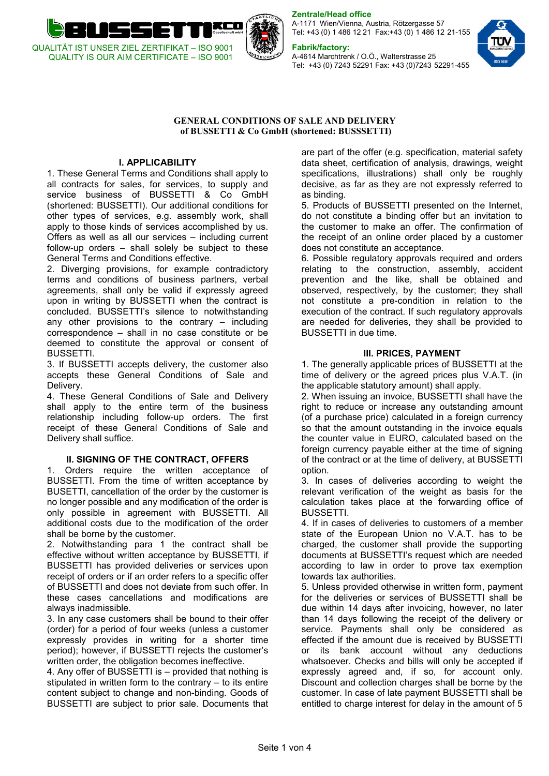

Zentrale/Head office

A-1171 Wien/Vienna, Austria, Rötzergasse 57 Tel: +43 (0) 1 486 12 21 Fax:+43 (0) 1 486 12 21-155

## Fabrik/factory:

A-4614 Marchtrenk / O.Ö., Walterstrasse 25 Tel: +43 (0) 7243 52291 Fax: +43 (0)7243 52291-455



#### GENERAL CONDITIONS OF SALE AND DELIVERY of BUSSETTI & Co GmbH (shortened: BUSSSETTI)

# I. APPLICABILITY

1. These General Terms and Conditions shall apply to all contracts for sales, for services, to supply and service business of BUSSETTI & Co GmbH (shortened: BUSSETTI). Our additional conditions for other types of services, e.g. assembly work, shall apply to those kinds of services accomplished by us. Offers as well as all our services – including current follow-up orders – shall solely be subject to these General Terms and Conditions effective.

2. Diverging provisions, for example contradictory terms and conditions of business partners, verbal agreements, shall only be valid if expressly agreed upon in writing by BUSSETTI when the contract is concluded. BUSSETTI's silence to notwithstanding any other provisions to the contrary – including correspondence – shall in no case constitute or be deemed to constitute the approval or consent of BUSSETTI.

3. If BUSSETTI accepts delivery, the customer also accepts these General Conditions of Sale and Delivery.

4. These General Conditions of Sale and Delivery shall apply to the entire term of the business relationship including follow-up orders. The first receipt of these General Conditions of Sale and Delivery shall suffice.

### **II. SIGNING OF THE CONTRACT, OFFERS**

1. Orders require the written acceptance of BUSSETTI. From the time of written acceptance by BUSETTI, cancellation of the order by the customer is no longer possible and any modification of the order is only possible in agreement with BUSSETTI. All additional costs due to the modification of the order shall be borne by the customer.

2. Notwithstanding para 1 the contract shall be effective without written acceptance by BUSSETTI, if BUSSETTI has provided deliveries or services upon receipt of orders or if an order refers to a specific offer of BUSSETTI and does not deviate from such offer. In these cases cancellations and modifications are always inadmissible.

3. In any case customers shall be bound to their offer (order) for a period of four weeks (unless a customer expressly provides in writing for a shorter time period); however, if BUSSETTI rejects the customer's written order, the obligation becomes ineffective.

4. Any offer of BUSSETTI is – provided that nothing is stipulated in written form to the contrary – to its entire content subject to change and non-binding. Goods of BUSSETTI are subject to prior sale. Documents that

are part of the offer (e.g. specification, material safety data sheet, certification of analysis, drawings, weight specifications, illustrations) shall only be roughly decisive, as far as they are not expressly referred to as binding.

5. Products of BUSSETTI presented on the Internet, do not constitute a binding offer but an invitation to the customer to make an offer. The confirmation of the receipt of an online order placed by a customer does not constitute an acceptance.

6. Possible regulatory approvals required and orders relating to the construction, assembly, accident prevention and the like, shall be obtained and observed, respectively, by the customer; they shall not constitute a pre-condition in relation to the execution of the contract. If such regulatory approvals are needed for deliveries, they shall be provided to BUSSETTI in due time.

### III. PRICES, PAYMENT

1. The generally applicable prices of BUSSETTI at the time of delivery or the agreed prices plus V.A.T. (in the applicable statutory amount) shall apply.

2. When issuing an invoice, BUSSETTI shall have the right to reduce or increase any outstanding amount (of a purchase price) calculated in a foreign currency so that the amount outstanding in the invoice equals the counter value in EURO, calculated based on the foreign currency payable either at the time of signing of the contract or at the time of delivery, at BUSSETTI option.

3. In cases of deliveries according to weight the relevant verification of the weight as basis for the calculation takes place at the forwarding office of BUSSETTI.

4. If in cases of deliveries to customers of a member state of the European Union no V.A.T. has to be charged, the customer shall provide the supporting documents at BUSSETTI's request which are needed according to law in order to prove tax exemption towards tax authorities.

5. Unless provided otherwise in written form, payment for the deliveries or services of BUSSETTI shall be due within 14 days after invoicing, however, no later than 14 days following the receipt of the delivery or service. Payments shall only be considered as effected if the amount due is received by BUSSETTI or its bank account without any deductions whatsoever. Checks and bills will only be accepted if expressly agreed and, if so, for account only. Discount and collection charges shall be borne by the customer. In case of late payment BUSSETTI shall be entitled to charge interest for delay in the amount of 5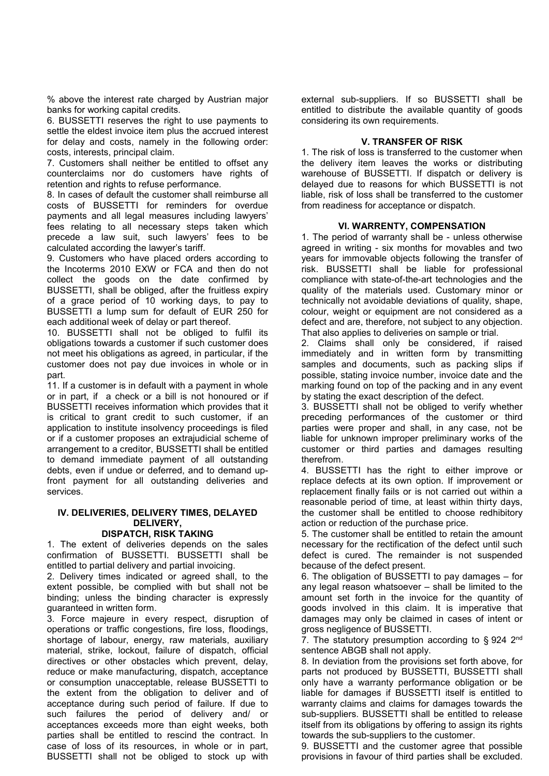% above the interest rate charged by Austrian major banks for working capital credits.

6. BUSSETTI reserves the right to use payments to settle the eldest invoice item plus the accrued interest for delay and costs, namely in the following order: costs, interests, principal claim.

7. Customers shall neither be entitled to offset any counterclaims nor do customers have rights of retention and rights to refuse performance.

8. In cases of default the customer shall reimburse all costs of BUSSETTI for reminders for overdue payments and all legal measures including lawyers' fees relating to all necessary steps taken which precede a law suit, such lawyers' fees to be calculated according the lawyer's tariff.

9. Customers who have placed orders according to the Incoterms 2010 EXW or FCA and then do not collect the goods on the date confirmed by BUSSETTI, shall be obliged, after the fruitless expiry of a grace period of 10 working days, to pay to BUSSETTI a lump sum for default of EUR 250 for each additional week of delay or part thereof.

10. BUSSETTI shall not be obliged to fulfil its obligations towards a customer if such customer does not meet his obligations as agreed, in particular, if the customer does not pay due invoices in whole or in part.

11. If a customer is in default with a payment in whole or in part, if a check or a bill is not honoured or if BUSSETTI receives information which provides that it is critical to grant credit to such customer, if an application to institute insolvency proceedings is filed or if a customer proposes an extrajudicial scheme of arrangement to a creditor, BUSSETTI shall be entitled to demand immediate payment of all outstanding debts, even if undue or deferred, and to demand upfront payment for all outstanding deliveries and services.

# IV. DELIVERIES, DELIVERY TIMES, DELAYED DELIVERY,

# DISPATCH, RISK TAKING

1. The extent of deliveries depends on the sales confirmation of BUSSETTI. BUSSETTI shall be entitled to partial delivery and partial invoicing.

2. Delivery times indicated or agreed shall, to the extent possible, be complied with but shall not be binding; unless the binding character is expressly guaranteed in written form.

3. Force majeure in every respect, disruption of operations or traffic congestions, fire loss, floodings, shortage of labour, energy, raw materials, auxiliary material, strike, lockout, failure of dispatch, official directives or other obstacles which prevent, delay, reduce or make manufacturing, dispatch, acceptance or consumption unacceptable, release BUSSETTI to the extent from the obligation to deliver and of acceptance during such period of failure. If due to such failures the period of delivery and/ or acceptances exceeds more than eight weeks, both parties shall be entitled to rescind the contract. In case of loss of its resources, in whole or in part, BUSSETTI shall not be obliged to stock up with

external sub-suppliers. If so BUSSETTI shall be entitled to distribute the available quantity of goods considering its own requirements.

## V. TRANSFER OF RISK

1. The risk of loss is transferred to the customer when the delivery item leaves the works or distributing warehouse of BUSSETTI. If dispatch or delivery is delayed due to reasons for which BUSSETTI is not liable, risk of loss shall be transferred to the customer from readiness for acceptance or dispatch.

### VI. WARRENTY, COMPENSATION

1. The period of warranty shall be - unless otherwise agreed in writing - six months for movables and two years for immovable objects following the transfer of risk. BUSSETTI shall be liable for professional compliance with state-of-the-art technologies and the quality of the materials used. Customary minor or technically not avoidable deviations of quality, shape, colour, weight or equipment are not considered as a defect and are, therefore, not subject to any objection. That also applies to deliveries on sample or trial.

2. Claims shall only be considered, if raised immediately and in written form by transmitting samples and documents, such as packing slips if possible, stating invoice number, invoice date and the marking found on top of the packing and in any event by stating the exact description of the defect.

3. BUSSETTI shall not be obliged to verify whether preceding performances of the customer or third parties were proper and shall, in any case, not be liable for unknown improper preliminary works of the customer or third parties and damages resulting therefrom.

4. BUSSETTI has the right to either improve or replace defects at its own option. If improvement or replacement finally fails or is not carried out within a reasonable period of time, at least within thirty days, the customer shall be entitled to choose redhibitory action or reduction of the purchase price.

5. The customer shall be entitled to retain the amount necessary for the rectification of the defect until such defect is cured. The remainder is not suspended because of the defect present.

6. The obligation of BUSSETTI to pay damages – for any legal reason whatsoever – shall be limited to the amount set forth in the invoice for the quantity of goods involved in this claim. It is imperative that damages may only be claimed in cases of intent or gross negligence of BUSSETTI.

7. The statutory presumption according to  $\S 924 2^{nd}$ sentence ABGB shall not apply.

8. In deviation from the provisions set forth above, for parts not produced by BUSSETTI, BUSSETTI shall only have a warranty performance obligation or be liable for damages if BUSSETTI itself is entitled to warranty claims and claims for damages towards the sub-suppliers. BUSSETTI shall be entitled to release itself from its obligations by offering to assign its rights towards the sub-suppliers to the customer.

9. BUSSETTI and the customer agree that possible provisions in favour of third parties shall be excluded.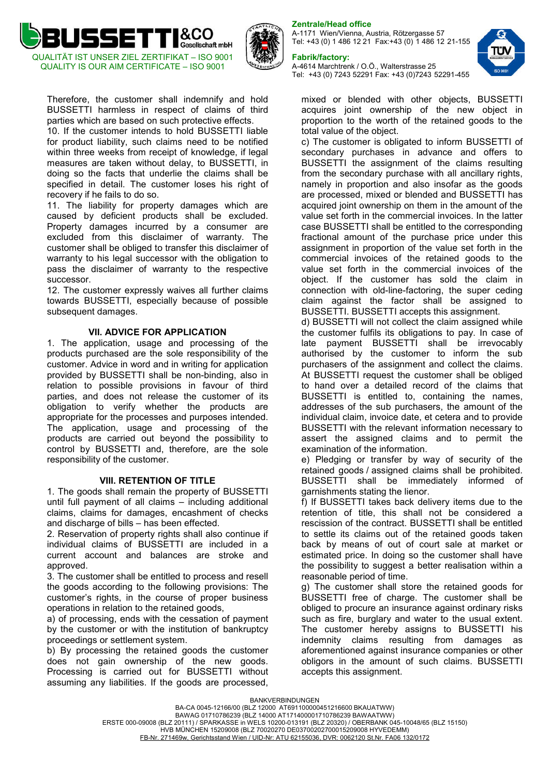



Therefore, the customer shall indemnify and hold BUSSETTI harmless in respect of claims of third parties which are based on such protective effects.

10. If the customer intends to hold BUSSETTI liable for product liability, such claims need to be notified within three weeks from receipt of knowledge, if legal measures are taken without delay, to BUSSETTI, in doing so the facts that underlie the claims shall be specified in detail. The customer loses his right of recovery if he fails to do so.

11. The liability for property damages which are caused by deficient products shall be excluded. Property damages incurred by a consumer are excluded from this disclaimer of warranty. The customer shall be obliged to transfer this disclaimer of warranty to his legal successor with the obligation to pass the disclaimer of warranty to the respective successor.

12. The customer expressly waives all further claims towards BUSSETTI, especially because of possible subsequent damages.

#### VII. ADVICE FOR APPLICATION

1. The application, usage and processing of the products purchased are the sole responsibility of the customer. Advice in word and in writing for application provided by BUSSETTI shall be non-binding, also in relation to possible provisions in favour of third parties, and does not release the customer of its obligation to verify whether the products are appropriate for the processes and purposes intended. The application, usage and processing of the products are carried out beyond the possibility to control by BUSSETTI and, therefore, are the sole responsibility of the customer.

#### VIII. RETENTION OF TITLE

1. The goods shall remain the property of BUSSETTI until full payment of all claims – including additional claims, claims for damages, encashment of checks and discharge of bills – has been effected.

2. Reservation of property rights shall also continue if individual claims of BUSSETTI are included in a current account and balances are stroke and approved.

3. The customer shall be entitled to process and resell the goods according to the following provisions: The customer's rights, in the course of proper business operations in relation to the retained goods,

a) of processing, ends with the cessation of payment by the customer or with the institution of bankruptcy proceedings or settlement system.

b) By processing the retained goods the customer does not gain ownership of the new goods. Processing is carried out for BUSSETTI without assuming any liabilities. If the goods are processed,

### Zentrale/Head office

A-1171 Wien/Vienna, Austria, Rötzergasse 57 Tel: +43 (0) 1 486 12 21 Fax:+43 (0) 1 486 12 21-155

#### Fabrik/factory:

A-4614 Marchtrenk / O.Ö., Walterstrasse 25 Tel: +43 (0) 7243 52291 Fax: +43 (0)7243 52291-455



mixed or blended with other objects, BUSSETTI acquires joint ownership of the new object in proportion to the worth of the retained goods to the total value of the object.

c) The customer is obligated to inform BUSSETTI of secondary purchases in advance and offers to BUSSETTI the assignment of the claims resulting from the secondary purchase with all ancillary rights, namely in proportion and also insofar as the goods are processed, mixed or blended and BUSSETTI has acquired joint ownership on them in the amount of the value set forth in the commercial invoices. In the latter case BUSSETTI shall be entitled to the corresponding fractional amount of the purchase price under this assignment in proportion of the value set forth in the commercial invoices of the retained goods to the value set forth in the commercial invoices of the object. If the customer has sold the claim in connection with old-line-factoring, the super ceding claim against the factor shall be assigned to BUSSETTI. BUSSETTI accepts this assignment.

d) BUSSETTI will not collect the claim assigned while the customer fulfils its obligations to pay. In case of late payment BUSSETTI shall be irrevocably authorised by the customer to inform the sub purchasers of the assignment and collect the claims. At BUSSETTI request the customer shall be obliged to hand over a detailed record of the claims that BUSSETTI is entitled to, containing the names, addresses of the sub purchasers, the amount of the individual claim, invoice date, et cetera and to provide BUSSETTI with the relevant information necessary to assert the assigned claims and to permit the examination of the information.

e) Pledging or transfer by way of security of the retained goods / assigned claims shall be prohibited. BUSSETTI shall be immediately informed of garnishments stating the lienor.

f) If BUSSETTI takes back delivery items due to the retention of title, this shall not be considered a rescission of the contract. BUSSETTI shall be entitled to settle its claims out of the retained goods taken back by means of out of court sale at market or estimated price. In doing so the customer shall have the possibility to suggest a better realisation within a reasonable period of time.

g) The customer shall store the retained goods for BUSSETTI free of charge. The customer shall be obliged to procure an insurance against ordinary risks such as fire, burglary and water to the usual extent. The customer hereby assigns to BUSSETTI his indemnity claims resulting from damages as aforementioned against insurance companies or other obligors in the amount of such claims. BUSSETTI accepts this assignment.

BANKVERBINDUNGEN